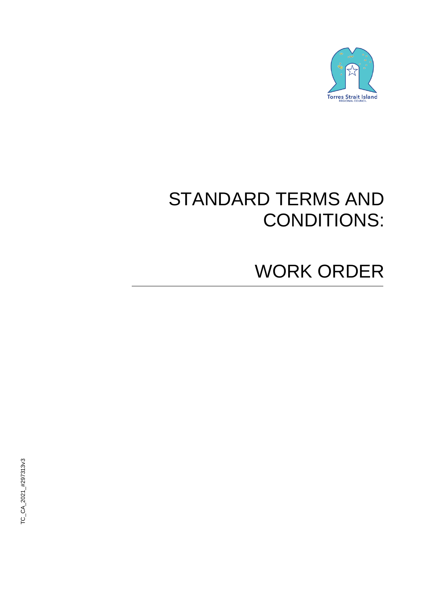

# STANDARD TERMS AND CONDITIONS:

# WORK ORDER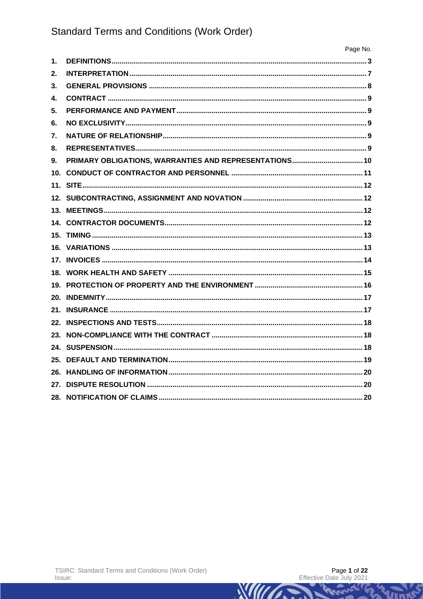|                | Page No. |
|----------------|----------|
| 1.             |          |
| 2 <sub>1</sub> |          |
| 3.             |          |
| 4.             |          |
| 5.             |          |
| 6.             |          |
| 7.             |          |
| 8.             |          |
| 9 <sub>1</sub> |          |
|                |          |
|                |          |
|                |          |
|                |          |
|                |          |
|                |          |
|                |          |
|                |          |
|                |          |
|                |          |
|                |          |
|                |          |
|                |          |
|                |          |
|                |          |
|                |          |
|                |          |
|                |          |
|                |          |
|                |          |

Rene

WILLIAM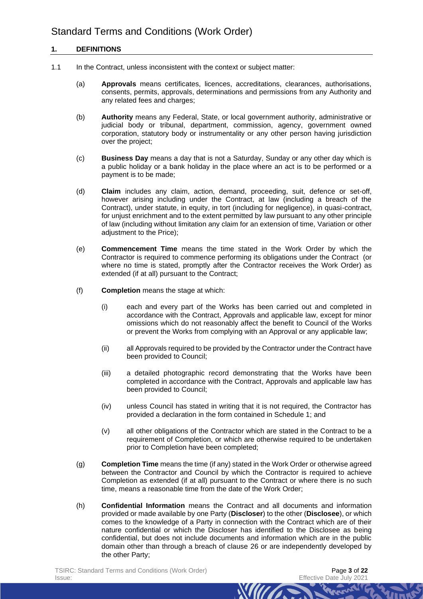## **1. DEFINITIONS**

- 1.1 In the Contract, unless inconsistent with the context or subject matter:
	- (a) **Approvals** means certificates, licences, accreditations, clearances, authorisations, consents, permits, approvals, determinations and permissions from any Authority and any related fees and charges;
	- (b) **Authority** means any Federal, State, or local government authority, administrative or judicial body or tribunal, department, commission, agency, government owned corporation, statutory body or instrumentality or any other person having jurisdiction over the project;
	- (c) **Business Day** means a day that is not a Saturday, Sunday or any other day which is a public holiday or a bank holiday in the place where an act is to be performed or a payment is to be made;
	- (d) **Claim** includes any claim, action, demand, proceeding, suit, defence or set-off, however arising including under the Contract, at law (including a breach of the Contract), under statute, in equity, in tort (including for negligence), in quasi-contract, for unjust enrichment and to the extent permitted by law pursuant to any other principle of law (including without limitation any claim for an extension of time, Variation or other adjustment to the Price);
	- (e) **Commencement Time** means the time stated in the Work Order by which the Contractor is required to commence performing its obligations under the Contract (or where no time is stated, promptly after the Contractor receives the Work Order) as extended (if at all) pursuant to the Contract;
	- (f) **Completion** means the stage at which:
		- (i) each and every part of the Works has been carried out and completed in accordance with the Contract, Approvals and applicable law, except for minor omissions which do not reasonably affect the benefit to Council of the Works or prevent the Works from complying with an Approval or any applicable law;
		- (ii) all Approvals required to be provided by the Contractor under the Contract have been provided to Council;
		- (iii) a detailed photographic record demonstrating that the Works have been completed in accordance with the Contract, Approvals and applicable law has been provided to Council;
		- (iv) unless Council has stated in writing that it is not required, the Contractor has provided a declaration in the form contained in Schedule 1; and
		- (v) all other obligations of the Contractor which are stated in the Contract to be a requirement of Completion, or which are otherwise required to be undertaken prior to Completion have been completed;
	- (g) **Completion Time** means the time (if any) stated in the Work Order or otherwise agreed between the Contractor and Council by which the Contractor is required to achieve Completion as extended (if at all) pursuant to the Contract or where there is no such time, means a reasonable time from the date of the Work Order;
	- (h) **Confidential Information** means the Contract and all documents and information provided or made available by one Party (**Discloser**) to the other (**Disclosee**), or which comes to the knowledge of a Party in connection with the Contract which are of their nature confidential or which the Discloser has identified to the Disclosee as being confidential, but does not include documents and information which are in the public domain other than through a breach of clause [26](#page-19-0) or are independently developed by the other Party;

*MIITT*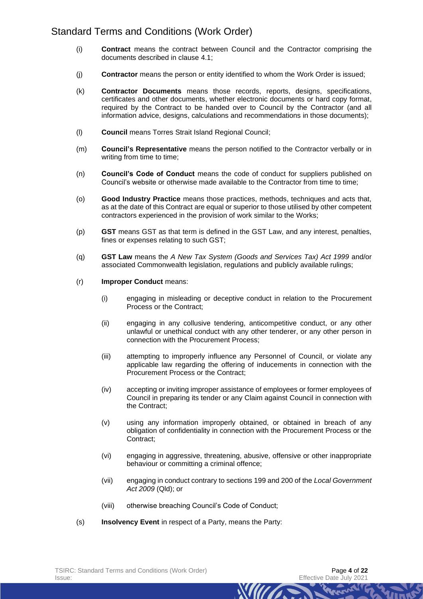- (i) **Contract** means the contract between Council and the Contractor comprising the documents described in clause [4.1;](#page-8-0)
- (j) **Contractor** means the person or entity identified to whom the Work Order is issued;
- (k) **Contractor Documents** means those records, reports, designs, specifications, certificates and other documents, whether electronic documents or hard copy format, required by the Contract to be handed over to Council by the Contractor (and all information advice, designs, calculations and recommendations in those documents);
- (l) **Council** means Torres Strait Island Regional Council;
- (m) **Council's Representative** means the person notified to the Contractor verbally or in writing from time to time;
- (n) **Council's Code of Conduct** means the code of conduct for suppliers published on Council's website or otherwise made available to the Contractor from time to time;
- (o) **Good Industry Practice** means those practices, methods, techniques and acts that, as at the date of this Contract are equal or superior to those utilised by other competent contractors experienced in the provision of work similar to the Works;
- (p) **GST** means GST as that term is defined in the GST Law, and any interest, penalties, fines or expenses relating to such GST;
- (q) **GST Law** means the *A New Tax System (Goods and Services Tax) Act 1999* and/or associated Commonwealth legislation, regulations and publicly available rulings;
- (r) **Improper Conduct** means:
	- (i) engaging in misleading or deceptive conduct in relation to the Procurement Process or the Contract;
	- (ii) engaging in any collusive tendering, anticompetitive conduct, or any other unlawful or unethical conduct with any other tenderer, or any other person in connection with the Procurement Process;
	- (iii) attempting to improperly influence any Personnel of Council, or violate any applicable law regarding the offering of inducements in connection with the Procurement Process or the Contract;
	- (iv) accepting or inviting improper assistance of employees or former employees of Council in preparing its tender or any Claim against Council in connection with the Contract;
	- (v) using any information improperly obtained, or obtained in breach of any obligation of confidentiality in connection with the Procurement Process or the Contract;
	- (vi) engaging in aggressive, threatening, abusive, offensive or other inappropriate behaviour or committing a criminal offence;
	- (vii) engaging in conduct contrary to sections 199 and 200 of the *Local Government Act 2009* (Qld); or

**WILLES** 

- (viii) otherwise breaching Council's Code of Conduct;
- (s) **Insolvency Event** in respect of a Party, means the Party: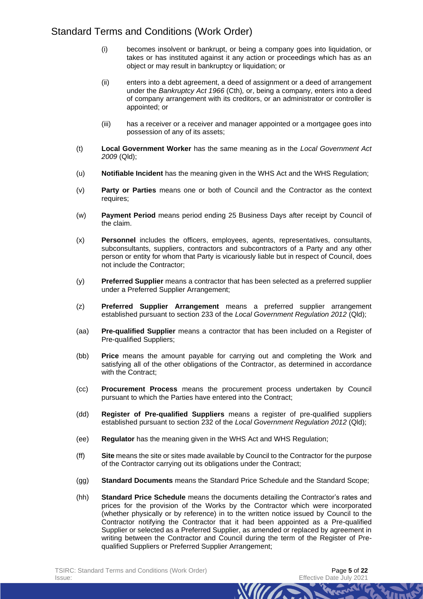- (i) becomes insolvent or bankrupt, or being a company goes into liquidation, or takes or has instituted against it any action or proceedings which has as an object or may result in bankruptcy or liquidation; or
- (ii) enters into a debt agreement, a deed of assignment or a deed of arrangement under the *Bankruptcy Act 1966* (Cth)*,* or, being a company, enters into a deed of company arrangement with its creditors, or an administrator or controller is appointed; or
- (iii) has a receiver or a receiver and manager appointed or a mortgagee goes into possession of any of its assets;
- (t) **Local Government Worker** has the same meaning as in the *Local Government Act 2009* (Qld);
- (u) **Notifiable Incident** has the meaning given in the WHS Act and the WHS Regulation;
- (v) **Party or Parties** means one or both of Council and the Contractor as the context requires;
- (w) **Payment Period** means period ending 25 Business Days after receipt by Council of the claim.
- (x) **Personnel** includes the officers, employees, agents, representatives, consultants, subconsultants, suppliers, contractors and subcontractors of a Party and any other person or entity for whom that Party is vicariously liable but in respect of Council, does not include the Contractor;
- (y) **Preferred Supplier** means a contractor that has been selected as a preferred supplier under a Preferred Supplier Arrangement;
- (z) **Preferred Supplier Arrangement** means a preferred supplier arrangement established pursuant to section 233 of the *Local Government Regulation 2012* (Qld);
- (aa) **Pre-qualified Supplier** means a contractor that has been included on a Register of Pre-qualified Suppliers;
- (bb) **Price** means the amount payable for carrying out and completing the Work and satisfying all of the other obligations of the Contractor, as determined in accordance with the Contract;
- (cc) **Procurement Process** means the procurement process undertaken by Council pursuant to which the Parties have entered into the Contract;
- (dd) **Register of Pre-qualified Suppliers** means a register of pre-qualified suppliers established pursuant to section 232 of the *Local Government Regulation 2012* (Qld);
- (ee) **Regulator** has the meaning given in the WHS Act and WHS Regulation;
- (ff) **Site** means the site or sites made available by Council to the Contractor for the purpose of the Contractor carrying out its obligations under the Contract;
- (gg) **Standard Documents** means the Standard Price Schedule and the Standard Scope;
- (hh) **Standard Price Schedule** means the documents detailing the Contractor's rates and prices for the provision of the Works by the Contractor which were incorporated (whether physically or by reference) in to the written notice issued by Council to the Contractor notifying the Contractor that it had been appointed as a Pre-qualified Supplier or selected as a Preferred Supplier, as amended or replaced by agreement in writing between the Contractor and Council during the term of the Register of Prequalified Suppliers or Preferred Supplier Arrangement;

*MITTS*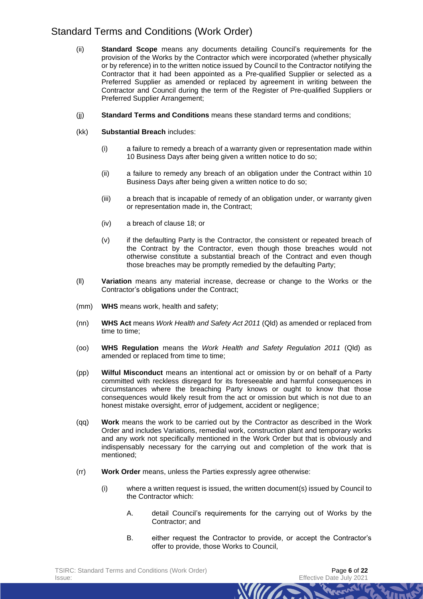- (ii) **Standard Scope** means any documents detailing Council's requirements for the provision of the Works by the Contractor which were incorporated (whether physically or by reference) in to the written notice issued by Council to the Contractor notifying the Contractor that it had been appointed as a Pre-qualified Supplier or selected as a Preferred Supplier as amended or replaced by agreement in writing between the Contractor and Council during the term of the Register of Pre-qualified Suppliers or Preferred Supplier Arrangement;
- (jj) **Standard Terms and Conditions** means these standard terms and conditions;
- (kk) **Substantial Breach** includes:
	- (i) a failure to remedy a breach of a warranty given or representation made within 10 Business Days after being given a written notice to do so;
	- (ii) a failure to remedy any breach of an obligation under the Contract within 10 Business Days after being given a written notice to do so;
	- (iii) a breach that is incapable of remedy of an obligation under, or warranty given or representation made in, the Contract;
	- (iv) a breach of clause [18;](#page-14-0) or
	- (v) if the defaulting Party is the Contractor, the consistent or repeated breach of the Contract by the Contractor, even though those breaches would not otherwise constitute a substantial breach of the Contract and even though those breaches may be promptly remedied by the defaulting Party;
- (ll) **Variation** means any material increase, decrease or change to the Works or the Contractor's obligations under the Contract;
- (mm) **WHS** means work, health and safety;
- (nn) **WHS Act** means *Work Health and Safety Act 2011* (Qld) as amended or replaced from time to time;
- (oo) **WHS Regulation** means the *Work Health and Safety Regulation 2011* (Qld) as amended or replaced from time to time;
- (pp) **Wilful Misconduct** means an intentional act or omission by or on behalf of a Party committed with reckless disregard for its foreseeable and harmful consequences in circumstances where the breaching Party knows or ought to know that those consequences would likely result from the act or omission but which is not due to an honest mistake oversight, error of judgement, accident or negligence;
- (qq) **Work** means the work to be carried out by the Contractor as described in the Work Order and includes Variations, remedial work, construction plant and temporary works and any work not specifically mentioned in the Work Order but that is obviously and indispensably necessary for the carrying out and completion of the work that is mentioned;
- (rr) **Work Order** means, unless the Parties expressly agree otherwise:
	- (i) where a written request is issued, the written document(s) issued by Council to the Contractor which:
		- A. detail Council's requirements for the carrying out of Works by the Contractor; and
		- B. either request the Contractor to provide, or accept the Contractor's offer to provide, those Works to Council,

*MITTS*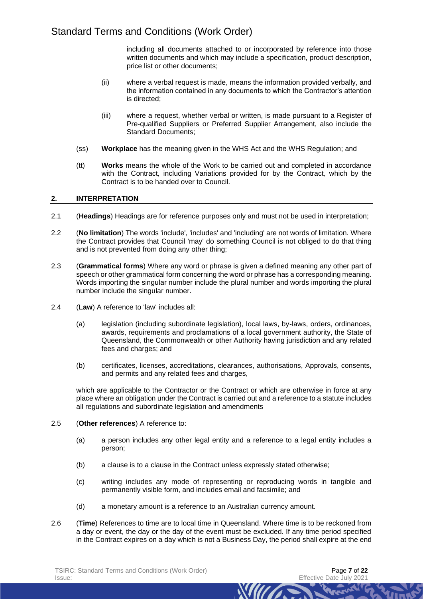including all documents attached to or incorporated by reference into those written documents and which may include a specification, product description, price list or other documents;

- (ii) where a verbal request is made, means the information provided verbally, and the information contained in any documents to which the Contractor's attention is directed;
- (iii) where a request, whether verbal or written, is made pursuant to a Register of Pre-qualified Suppliers or Preferred Supplier Arrangement, also include the Standard Documents;
- (ss) **Workplace** has the meaning given in the WHS Act and the WHS Regulation; and
- (tt) **Works** means the whole of the Work to be carried out and completed in accordance with the Contract*,* including Variations provided for by the Contract*,* which by the Contract is to be handed over to Council.

## **2. INTERPRETATION**

- 2.1 (**Headings**) Headings are for reference purposes only and must not be used in interpretation;
- 2.2 (**No limitation**) The words 'include', 'includes' and 'including' are not words of limitation. Where the Contract provides that Council 'may' do something Council is not obliged to do that thing and is not prevented from doing any other thing;
- 2.3 (**Grammatical forms**) Where any word or phrase is given a defined meaning any other part of speech or other grammatical form concerning the word or phrase has a corresponding meaning. Words importing the singular number include the plural number and words importing the plural number include the singular number.
- 2.4 (**Law**) A reference to 'law' includes all:
	- (a) legislation (including subordinate legislation), local laws, by-laws, orders, ordinances, awards, requirements and proclamations of a local government authority, the State of Queensland, the Commonwealth or other Authority having jurisdiction and any related fees and charges; and
	- (b) certificates, licenses, accreditations, clearances, authorisations, Approvals, consents, and permits and any related fees and charges,

which are applicable to the Contractor or the Contract or which are otherwise in force at any place where an obligation under the Contract is carried out and a reference to a statute includes all regulations and subordinate legislation and amendments

## 2.5 (**Other references**) A reference to:

- (a) a person includes any other legal entity and a reference to a legal entity includes a person;
- (b) a clause is to a clause in the Contract unless expressly stated otherwise;
- (c) writing includes any mode of representing or reproducing words in tangible and permanently visible form, and includes email and facsimile; and

- (d) a monetary amount is a reference to an Australian currency amount.
- 2.6 (**Time**) References to time are to local time in Queensland. Where time is to be reckoned from a day or event, the day or the day of the event must be excluded. If any time period specified in the Contract expires on a day which is not a Business Day, the period shall expire at the end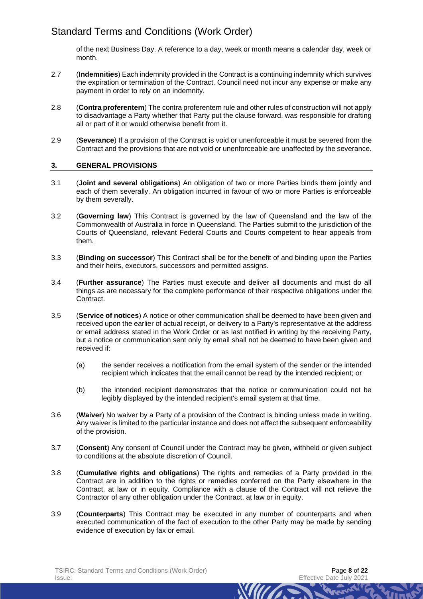of the next Business Day. A reference to a day, week or month means a calendar day, week or month.

- 2.7 (**Indemnities**) Each indemnity provided in the Contract is a continuing indemnity which survives the expiration or termination of the Contract. Council need not incur any expense or make any payment in order to rely on an indemnity.
- 2.8 (**Contra proferentem**) The contra proferentem rule and other rules of construction will not apply to disadvantage a Party whether that Party put the clause forward, was responsible for drafting all or part of it or would otherwise benefit from it.
- 2.9 (**Severance**) If a provision of the Contract is void or unenforceable it must be severed from the Contract and the provisions that are not void or unenforceable are unaffected by the severance.

## **3. GENERAL PROVISIONS**

- 3.1 (**Joint and several obligations**) An obligation of two or more Parties binds them jointly and each of them severally. An obligation incurred in favour of two or more Parties is enforceable by them severally.
- 3.2 (**Governing law**) This Contract is governed by the law of Queensland and the law of the Commonwealth of Australia in force in Queensland. The Parties submit to the jurisdiction of the Courts of Queensland, relevant Federal Courts and Courts competent to hear appeals from them.
- 3.3 (**Binding on successor**) This Contract shall be for the benefit of and binding upon the Parties and their heirs, executors, successors and permitted assigns.
- 3.4 (**Further assurance**) The Parties must execute and deliver all documents and must do all things as are necessary for the complete performance of their respective obligations under the Contract.
- 3.5 (**Service of notices**) A notice or other communication shall be deemed to have been given and received upon the earlier of actual receipt, or delivery to a Party's representative at the address or email address stated in the Work Order or as last notified in writing by the receiving Party, but a notice or communication sent only by email shall not be deemed to have been given and received if:
	- (a) the sender receives a notification from the email system of the sender or the intended recipient which indicates that the email cannot be read by the intended recipient; or
	- (b) the intended recipient demonstrates that the notice or communication could not be legibly displayed by the intended recipient's email system at that time.
- 3.6 (**Waiver**) No waiver by a Party of a provision of the Contract is binding unless made in writing. Any waiver is limited to the particular instance and does not affect the subsequent enforceability of the provision.
- 3.7 (**Consent**) Any consent of Council under the Contract may be given, withheld or given subject to conditions at the absolute discretion of Council.
- 3.8 (**Cumulative rights and obligations**) The rights and remedies of a Party provided in the Contract are in addition to the rights or remedies conferred on the Party elsewhere in the Contract, at law or in equity. Compliance with a clause of the Contract will not relieve the Contractor of any other obligation under the Contract, at law or in equity.
- 3.9 (**Counterparts**) This Contract may be executed in any number of counterparts and when executed communication of the fact of execution to the other Party may be made by sending evidence of execution by fax or email.

**WILLES**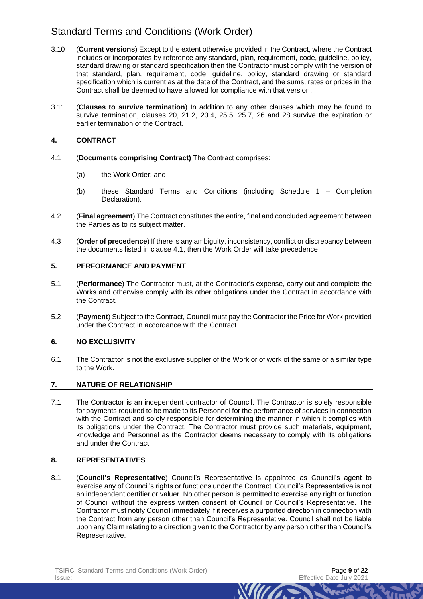- 3.10 (**Current versions**) Except to the extent otherwise provided in the Contract, where the Contract includes or incorporates by reference any standard, plan, requirement, code, guideline, policy, standard drawing or standard specification then the Contractor must comply with the version of that standard, plan, requirement, code, guideline, policy, standard drawing or standard specification which is current as at the date of the Contract, and the sums, rates or prices in the Contract shall be deemed to have allowed for compliance with that version.
- 3.11 (**Clauses to survive termination**) In addition to any other clauses which may be found to survive termination, clauses [20,](#page-16-0) [21.2,](#page-16-1) [23.4,](#page-17-0) [25.5,](#page-18-0) [25.7,](#page-19-1) [26](#page-19-0) and [28](#page-19-2) survive the expiration or earlier termination of the Contract.

# **4. CONTRACT**

- <span id="page-8-0"></span>4.1 (**Documents comprising Contract)** The Contract comprises:
	- (a) the Work Order; and
	- (b) these Standard Terms and Conditions (including Schedule 1 Completion Declaration).
- 4.2 (**Final agreement**) The Contract constitutes the entire, final and concluded agreement between the Parties as to its subject matter.
- 4.3 (**Order of precedence**) If there is any ambiguity, inconsistency, conflict or discrepancy between the documents listed in clause [4.1,](#page-8-0) then the Work Order will take precedence.

## **5. PERFORMANCE AND PAYMENT**

- 5.1 (**Performance**) The Contractor must, at the Contractor's expense, carry out and complete the Works and otherwise comply with its other obligations under the Contract in accordance with the Contract.
- 5.2 (**Payment**) Subject to the Contract, Council must pay the Contractor the Price for Work provided under the Contract in accordance with the Contract.

# **6. NO EXCLUSIVITY**

6.1 The Contractor is not the exclusive supplier of the Work or of work of the same or a similar type to the Work.

# **7. NATURE OF RELATIONSHIP**

7.1 The Contractor is an independent contractor of Council. The Contractor is solely responsible for payments required to be made to its Personnel for the performance of services in connection with the Contract and solely responsible for determining the manner in which it complies with its obligations under the Contract. The Contractor must provide such materials, equipment, knowledge and Personnel as the Contractor deems necessary to comply with its obligations and under the Contract.

# **8. REPRESENTATIVES**

8.1 (**Council's Representative**) Council's Representative is appointed as Council's agent to exercise any of Council's rights or functions under the Contract. Council's Representative is not an independent certifier or valuer. No other person is permitted to exercise any right or function of Council without the express written consent of Council or Council's Representative. The Contractor must notify Council immediately if it receives a purported direction in connection with the Contract from any person other than Council's Representative. Council shall not be liable upon any Claim relating to a direction given to the Contractor by any person other than Council's Representative.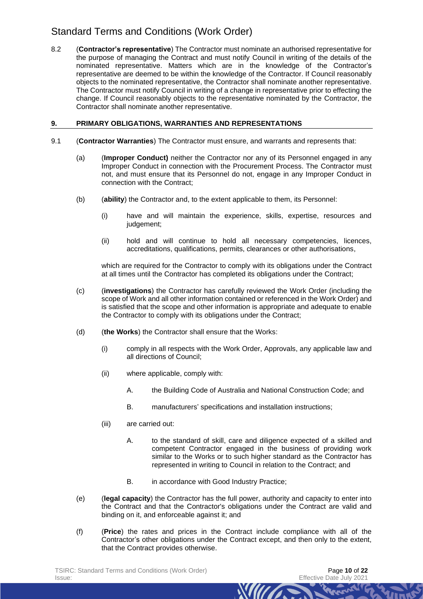8.2 (**Contractor's representative**) The Contractor must nominate an authorised representative for the purpose of managing the Contract and must notify Council in writing of the details of the nominated representative. Matters which are in the knowledge of the Contractor's representative are deemed to be within the knowledge of the Contractor. If Council reasonably objects to the nominated representative, the Contractor shall nominate another representative. The Contractor must notify Council in writing of a change in representative prior to effecting the change. If Council reasonably objects to the representative nominated by the Contractor, the Contractor shall nominate another representative.

# **9. PRIMARY OBLIGATIONS, WARRANTIES AND REPRESENTATIONS**

- <span id="page-9-2"></span><span id="page-9-1"></span><span id="page-9-0"></span>9.1 (**Contractor Warranties**) The Contractor must ensure, and warrants and represents that:
	- (a) (**Improper Conduct)** neither the Contractor nor any of its Personnel engaged in any Improper Conduct in connection with the Procurement Process. The Contractor must not, and must ensure that its Personnel do not, engage in any Improper Conduct in connection with the Contract;
	- (b) (**ability**) the Contractor and, to the extent applicable to them, its Personnel:
		- (i) have and will maintain the experience, skills, expertise, resources and judgement;
		- (ii) hold and will continue to hold all necessary competencies, licences, accreditations, qualifications, permits, clearances or other authorisations,

which are required for the Contractor to comply with its obligations under the Contract at all times until the Contractor has completed its obligations under the Contract;

- (c) (**investigations**) the Contractor has carefully reviewed the Work Order (including the scope of Work and all other information contained or referenced in the Work Order) and is satisfied that the scope and other information is appropriate and adequate to enable the Contractor to comply with its obligations under the Contract;
- (d) (**the Works**) the Contractor shall ensure that the Works:
	- (i) comply in all respects with the Work Order, Approvals, any applicable law and all directions of Council;
	- (ii) where applicable, comply with:
		- A. the Building Code of Australia and National Construction Code; and
		- B. manufacturers' specifications and installation instructions;
	- (iii) are carried out:
		- A. to the standard of skill, care and diligence expected of a skilled and competent Contractor engaged in the business of providing work similar to the Works or to such higher standard as the Contractor has represented in writing to Council in relation to the Contract; and

**WILLES** 

- B. in accordance with Good Industry Practice;
- (e) (**legal capacity**) the Contractor has the full power, authority and capacity to enter into the Contract and that the Contractor's obligations under the Contract are valid and binding on it, and enforceable against it; and
- (f) (**Price**) the rates and prices in the Contract include compliance with all of the Contractor's other obligations under the Contract except, and then only to the extent, that the Contract provides otherwise.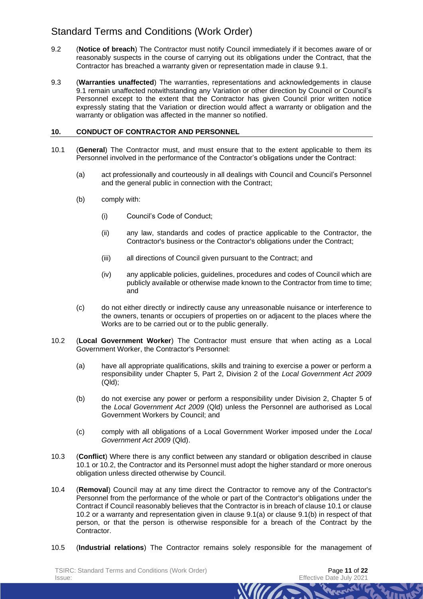- 9.2 (**Notice of breach**) The Contractor must notify Council immediately if it becomes aware of or reasonably suspects in the course of carrying out its obligations under the Contract, that the Contractor has breached a warranty given or representation made in clause [9.1.](#page-9-0)
- 9.3 (**Warranties unaffected**) The warranties, representations and acknowledgements in clause [9.1](#page-9-0) remain unaffected notwithstanding any Variation or other direction by Council or Council's Personnel except to the extent that the Contractor has given Council prior written notice expressly stating that the Variation or direction would affect a warranty or obligation and the warranty or obligation was affected in the manner so notified.

## **10. CONDUCT OF CONTRACTOR AND PERSONNEL**

- <span id="page-10-0"></span>10.1 (**General**) The Contractor must, and must ensure that to the extent applicable to them its Personnel involved in the performance of the Contractor's obligations under the Contract:
	- (a) act professionally and courteously in all dealings with Council and Council's Personnel and the general public in connection with the Contract;
	- (b) comply with:
		- (i) Council's Code of Conduct;
		- (ii) any law, standards and codes of practice applicable to the Contractor, the Contractor's business or the Contractor's obligations under the Contract;
		- (iii) all directions of Council given pursuant to the Contract; and
		- (iv) any applicable policies, guidelines, procedures and codes of Council which are publicly available or otherwise made known to the Contractor from time to time; and
	- (c) do not either directly or indirectly cause any unreasonable nuisance or interference to the owners, tenants or occupiers of properties on or adjacent to the places where the Works are to be carried out or to the public generally.
- <span id="page-10-2"></span><span id="page-10-1"></span>10.2 (**Local Government Worker**) The Contractor must ensure that when acting as a Local Government Worker, the Contractor's Personnel:
	- (a) have all appropriate qualifications, skills and training to exercise a power or perform a responsibility under Chapter 5, Part 2, Division 2 of the *Local Government Act 2009* (Qld);
	- (b) do not exercise any power or perform a responsibility under Division 2, Chapter 5 of the *Local Government Act 2009* (Qld) unless the Personnel are authorised as Local Government Workers by Council; and
	- (c) comply with all obligations of a Local Government Worker imposed under the *Local Government Act 2009* (Qld).
- 10.3 (**Conflict**) Where there is any conflict between any standard or obligation described in clause [10.1](#page-10-0) or [10.2,](#page-10-1) the Contractor and its Personnel must adopt the higher standard or more onerous obligation unless directed otherwise by Council.
- 10.4 (**Removal**) Council may at any time direct the Contractor to remove any of the Contractor's Personnel from the performance of the whole or part of the Contractor's obligations under the Contract if Council reasonably believes that the Contractor is in breach of clause [10.1](#page-10-0) or clause [10.2](#page-10-2) or a warranty and representation given in clause [9.1\(a\)](#page-9-1) or clause [9.1\(b\)](#page-9-2) in respect of that person, or that the person is otherwise responsible for a breach of the Contract by the Contractor.
- 10.5 (**Industrial relations**) The Contractor remains solely responsible for the management of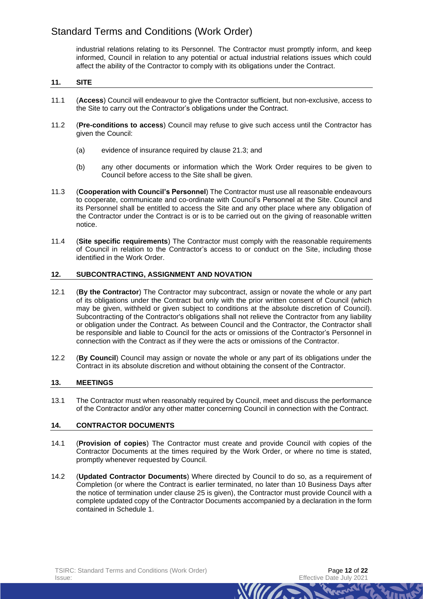industrial relations relating to its Personnel. The Contractor must promptly inform, and keep informed, Council in relation to any potential or actual industrial relations issues which could affect the ability of the Contractor to comply with its obligations under the Contract.

## **11. SITE**

- 11.1 (**Access**) Council will endeavour to give the Contractor sufficient, but non-exclusive, access to the Site to carry out the Contractor's obligations under the Contract.
- 11.2 (**Pre-conditions to access**) Council may refuse to give such access until the Contractor has given the Council:
	- (a) evidence of insurance required by clause [21.3;](#page-17-1) and
	- (b) any other documents or information which the Work Order requires to be given to Council before access to the Site shall be given.
- 11.3 (**Cooperation with Council's Personnel**) The Contractor must use all reasonable endeavours to cooperate, communicate and co-ordinate with Council's Personnel at the Site. Council and its Personnel shall be entitled to access the Site and any other place where any obligation of the Contractor under the Contract is or is to be carried out on the giving of reasonable written notice.
- 11.4 (**Site specific requirements**) The Contractor must comply with the reasonable requirements of Council in relation to the Contractor's access to or conduct on the Site, including those identified in the Work Order.

## **12. SUBCONTRACTING, ASSIGNMENT AND NOVATION**

- 12.1 (**By the Contractor**) The Contractor may subcontract, assign or novate the whole or any part of its obligations under the Contract but only with the prior written consent of Council (which may be given, withheld or given subject to conditions at the absolute discretion of Council). Subcontracting of the Contractor's obligations shall not relieve the Contractor from any liability or obligation under the Contract. As between Council and the Contractor, the Contractor shall be responsible and liable to Council for the acts or omissions of the Contractor's Personnel in connection with the Contract as if they were the acts or omissions of the Contractor.
- 12.2 (**By Council**) Council may assign or novate the whole or any part of its obligations under the Contract in its absolute discretion and without obtaining the consent of the Contractor.

## **13. MEETINGS**

13.1 The Contractor must when reasonably required by Council, meet and discuss the performance of the Contractor and/or any other matter concerning Council in connection with the Contract.

## **14. CONTRACTOR DOCUMENTS**

- 14.1 (**Provision of copies**) The Contractor must create and provide Council with copies of the Contractor Documents at the times required by the Work Order, or where no time is stated, promptly whenever requested by Council.
- 14.2 (**Updated Contractor Documents**) Where directed by Council to do so, as a requirement of Completion (or where the Contract is earlier terminated, no later than 10 Business Days after the notice of termination under clause [25](#page-18-1) is given), the Contractor must provide Council with a complete updated copy of the Contractor Documents accompanied by a declaration in the form contained in Schedule 1.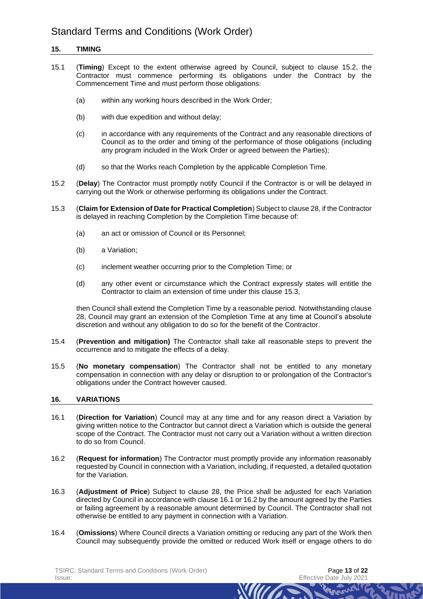## **15. TIMING**

- 15.1 (**Timing**) Except to the extent otherwise agreed by Council, subject to clause [15.2,](#page-12-0) the Contractor must commence performing its obligations under the Contract by the Commencement Time and must perform those obligations:
	- (a) within any working hours described in the Work Order;
	- (b) with due expedition and without delay;
	- (c) in accordance with any requirements of the Contract and any reasonable directions of Council as to the order and timing of the performance of those obligations (including any program included in the Work Order or agreed between the Parties);
	- (d) so that the Works reach Completion by the applicable Completion Time.
- <span id="page-12-0"></span>15.2 (**Delay**) The Contractor must promptly notify Council if the Contractor is or will be delayed in carrying out the Work or otherwise performing its obligations under the Contract.
- <span id="page-12-1"></span>15.3 (**Claim for Extension of Date for Practical Completion**) Subject to claus[e 28,](#page-19-2) if the Contractor is delayed in reaching Completion by the Completion Time because of:
	- (a) an act or omission of Council or its Personnel;
	- (b) a Variation;
	- (c) inclement weather occurring prior to the Completion Time; or
	- (d) any other event or circumstance which the Contract expressly states will entitle the Contractor to claim an extension of time under this clause [15.3,](#page-12-1)

then Council shall extend the Completion Time by a reasonable period. Notwithstanding clause [28,](#page-19-2) Council may grant an extension of the Completion Time at any time at Council's absolute discretion and without any obligation to do so for the benefit of the Contractor.

- 15.4 (**Prevention and mitigation)** The Contractor shall take all reasonable steps to prevent the occurrence and to mitigate the effects of a delay.
- 15.5 (**No monetary compensation**) The Contractor shall not be entitled to any monetary compensation in connection with any delay or disruption to or prolongation of the Contractor's obligations under the Contract however caused.

## **16. VARIATIONS**

- <span id="page-12-2"></span>16.1 (**Direction for Variation**) Council may at any time and for any reason direct a Variation by giving written notice to the Contractor but cannot direct a Variation which is outside the general scope of the Contract. The Contractor must not carry out a Variation without a written direction to do so from Council.
- <span id="page-12-3"></span>16.2 (**Request for information**) The Contractor must promptly provide any information reasonably requested by Council in connection with a Variation, including, if requested, a detailed quotation for the Variation.
- 16.3 (**Adjustment of Price**) Subject to clause [28,](#page-19-2) the Price shall be adjusted for each Variation directed by Council in accordance with claus[e 16.1](#page-12-2) o[r 16.2](#page-12-3) by the amount agreed by the Parties or failing agreement by a reasonable amount determined by Council. The Contractor shall not otherwise be entitled to any payment in connection with a Variation.
- 16.4 (**Omissions**) Where Council directs a Variation omitting or reducing any part of the Work then Council may subsequently provide the omitted or reduced Work itself or engage others to do

*MIITA*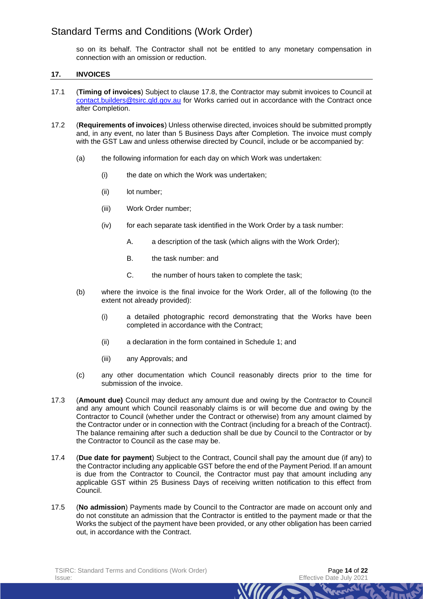so on its behalf. The Contractor shall not be entitled to any monetary compensation in connection with an omission or reduction.

## **17. INVOICES**

- 17.1 (**Timing of invoices**) Subject to clause [17.8,](#page-14-1) the Contractor may submit invoices to Council at [contact.builders@tsirc.qld.gov.au](mailto:contact.builders@tsirc.qld.gov.au) for Works carried out in accordance with the Contract once after Completion.
- 17.2 (**Requirements of invoices**) Unless otherwise directed, invoices should be submitted promptly and, in any event, no later than 5 Business Days after Completion. The invoice must comply with the GST Law and unless otherwise directed by Council, include or be accompanied by:
	- (a) the following information for each day on which Work was undertaken:
		- (i) the date on which the Work was undertaken;
		- (ii) lot number:
		- (iii) Work Order number;
		- (iv) for each separate task identified in the Work Order by a task number:
			- A. a description of the task (which aligns with the Work Order);
			- B. the task number: and
			- C. the number of hours taken to complete the task;
	- (b) where the invoice is the final invoice for the Work Order, all of the following (to the extent not already provided):
		- (i) a detailed photographic record demonstrating that the Works have been completed in accordance with the Contract;
		- (ii) a declaration in the form contained in Schedule 1; and
		- (iii) any Approvals; and
	- (c) any other documentation which Council reasonably directs prior to the time for submission of the invoice.
- 17.3 (**Amount due)** Council may deduct any amount due and owing by the Contractor to Council and any amount which Council reasonably claims is or will become due and owing by the Contractor to Council (whether under the Contract or otherwise) from any amount claimed by the Contractor under or in connection with the Contract (including for a breach of the Contract). The balance remaining after such a deduction shall be due by Council to the Contractor or by the Contractor to Council as the case may be.
- 17.4 (**Due date for payment**) Subject to the Contract, Council shall pay the amount due (if any) to the Contractor including any applicable GST before the end of the Payment Period. If an amount is due from the Contractor to Council, the Contractor must pay that amount including any applicable GST within 25 Business Days of receiving written notification to this effect from Council.
- 17.5 (**No admission**) Payments made by Council to the Contractor are made on account only and do not constitute an admission that the Contractor is entitled to the payment made or that the Works the subject of the payment have been provided, or any other obligation has been carried out, in accordance with the Contract.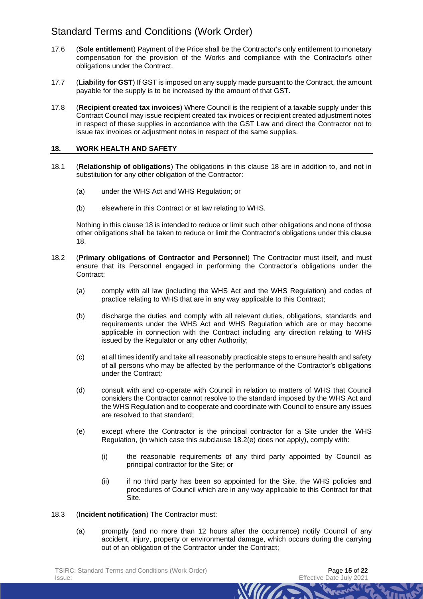- 17.6 (**Sole entitlement**) Payment of the Price shall be the Contractor's only entitlement to monetary compensation for the provision of the Works and compliance with the Contractor's other obligations under the Contract.
- 17.7 (**Liability for GST**) If GST is imposed on any supply made pursuant to the Contract, the amount payable for the supply is to be increased by the amount of that GST.
- <span id="page-14-1"></span>17.8 (**Recipient created tax invoices**) Where Council is the recipient of a taxable supply under this Contract Council may issue recipient created tax invoices or recipient created adjustment notes in respect of these supplies in accordance with the GST Law and direct the Contractor not to issue tax invoices or adjustment notes in respect of the same supplies.

#### <span id="page-14-0"></span>**18. WORK HEALTH AND SAFETY**

- 18.1 (**Relationship of obligations**) The obligations in this clause [18](#page-14-0) are in addition to, and not in substitution for any other obligation of the Contractor:
	- (a) under the WHS Act and WHS Regulation; or
	- (b) elsewhere in this Contract or at law relating to WHS.

Nothing in this clause [18](#page-14-0) is intended to reduce or limit such other obligations and none of those other obligations shall be taken to reduce or limit the Contractor's obligations under this clause [18.](#page-14-0)

- 18.2 (**Primary obligations of Contractor and Personnel**) The Contractor must itself, and must ensure that its Personnel engaged in performing the Contractor's obligations under the Contract:
	- (a) comply with all law (including the WHS Act and the WHS Regulation) and codes of practice relating to WHS that are in any way applicable to this Contract;
	- (b) discharge the duties and comply with all relevant duties, obligations, standards and requirements under the WHS Act and WHS Regulation which are or may become applicable in connection with the Contract including any direction relating to WHS issued by the Regulator or any other Authority;
	- (c) at all times identify and take all reasonably practicable steps to ensure health and safety of all persons who may be affected by the performance of the Contractor's obligations under the Contract*;*
	- (d) consult with and co-operate with Council in relation to matters of WHS that Council considers the Contractor cannot resolve to the standard imposed by the WHS Act and the WHS Regulation and to cooperate and coordinate with Council to ensure any issues are resolved to that standard;
	- (e) except where the Contractor is the principal contractor for a Site under the WHS Regulation, (in which case this subclause [18.2\(e\)](#page-14-2) does not apply), comply with:
		- (i) the reasonable requirements of any third party appointed by Council as principal contractor for the Site; or
		- (ii) if no third party has been so appointed for the Site, the WHS policies and procedures of Council which are in any way applicable to this Contract for that Site.

- <span id="page-14-2"></span>18.3 (**Incident notification**) The Contractor must:
	- (a) promptly (and no more than 12 hours after the occurrence) notify Council of any accident, injury, property or environmental damage, which occurs during the carrying out of an obligation of the Contractor under the Contract;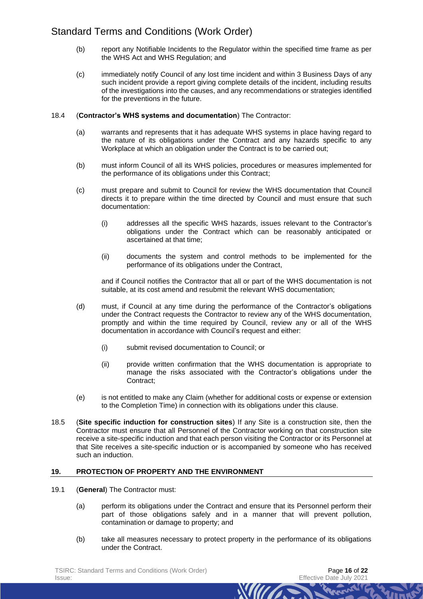- (b) report any Notifiable Incidents to the Regulator within the specified time frame as per the WHS Act and WHS Regulation; and
- (c) immediately notify Council of any lost time incident and within 3 Business Days of any such incident provide a report giving complete details of the incident, including results of the investigations into the causes, and any recommendations or strategies identified for the preventions in the future.

#### 18.4 (**Contractor's WHS systems and documentation**) The Contractor:

- (a) warrants and represents that it has adequate WHS systems in place having regard to the nature of its obligations under the Contract and any hazards specific to any Workplace at which an obligation under the Contract is to be carried out;
- (b) must inform Council of all its WHS policies, procedures or measures implemented for the performance of its obligations under this Contract;
- (c) must prepare and submit to Council for review the WHS documentation that Council directs it to prepare within the time directed by Council and must ensure that such documentation:
	- (i) addresses all the specific WHS hazards, issues relevant to the Contractor's obligations under the Contract which can be reasonably anticipated or ascertained at that time;
	- (ii) documents the system and control methods to be implemented for the performance of its obligations under the Contract,

and if Council notifies the Contractor that all or part of the WHS documentation is not suitable, at its cost amend and resubmit the relevant WHS documentation;

- (d) must, if Council at any time during the performance of the Contractor's obligations under the Contract requests the Contractor to review any of the WHS documentation, promptly and within the time required by Council, review any or all of the WHS documentation in accordance with Council's request and either:
	- (i) submit revised documentation to Council; or
	- (ii) provide written confirmation that the WHS documentation is appropriate to manage the risks associated with the Contractor's obligations under the Contract;
- (e) is not entitled to make any Claim (whether for additional costs or expense or extension to the Completion Time) in connection with its obligations under this clause.
- 18.5 (**Site specific induction for construction sites**) If any Site is a construction site, then the Contractor must ensure that all Personnel of the Contractor working on that construction site receive a site-specific induction and that each person visiting the Contractor or its Personnel at that Site receives a site-specific induction or is accompanied by someone who has received such an induction.

## **19. PROTECTION OF PROPERTY AND THE ENVIRONMENT**

- 19.1 (**General**) The Contractor must:
	- (a) perform its obligations under the Contract and ensure that its Personnel perform their part of those obligations safely and in a manner that will prevent pollution, contamination or damage to property; and
	- (b) take all measures necessary to protect property in the performance of its obligations under the Contract.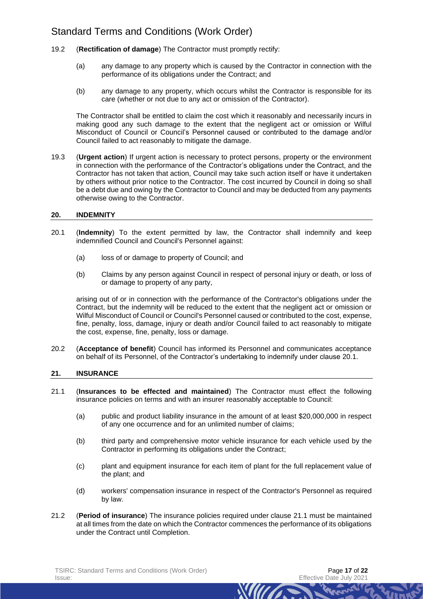- 19.2 (**Rectification of damage**) The Contractor must promptly rectify:
	- (a) any damage to any property which is caused by the Contractor in connection with the performance of its obligations under the Contract; and
	- (b) any damage to any property, which occurs whilst the Contractor is responsible for its care (whether or not due to any act or omission of the Contractor).

The Contractor shall be entitled to claim the cost which it reasonably and necessarily incurs in making good any such damage to the extent that the negligent act or omission or Wilful Misconduct of Council or Council's Personnel caused or contributed to the damage and/or Council failed to act reasonably to mitigate the damage.

19.3 (**Urgent action**) If urgent action is necessary to protect persons, property or the environment in connection with the performance of the Contractor's obligations under the Contract, and the Contractor has not taken that action, Council may take such action itself or have it undertaken by others without prior notice to the Contractor. The cost incurred by Council in doing so shall be a debt due and owing by the Contractor to Council and may be deducted from any payments otherwise owing to the Contractor.

## <span id="page-16-0"></span>**20. INDEMNITY**

- <span id="page-16-2"></span>20.1 (**Indemnity**) To the extent permitted by law, the Contractor shall indemnify and keep indemnified Council and Council's Personnel against:
	- (a) loss of or damage to property of Council; and
	- (b) Claims by any person against Council in respect of personal injury or death, or loss of or damage to property of any party,

arising out of or in connection with the performance of the Contractor's obligations under the Contract, but the indemnity will be reduced to the extent that the negligent act or omission or Wilful Misconduct of Council or Council's Personnel caused or contributed to the cost, expense, fine, penalty, loss, damage, injury or death and/or Council failed to act reasonably to mitigate the cost, expense, fine, penalty, loss or damage.

20.2 (**Acceptance of benefit**) Council has informed its Personnel and communicates acceptance on behalf of its Personnel, of the Contractor's undertaking to indemnify under clause [20.1.](#page-16-2)

## **21. INSURANCE**

- <span id="page-16-3"></span>21.1 (**Insurances to be effected and maintained**) The Contractor must effect the following insurance policies on terms and with an insurer reasonably acceptable to Council:
	- (a) public and product liability insurance in the amount of at least \$20,000,000 in respect of any one occurrence and for an unlimited number of claims;
	- (b) third party and comprehensive motor vehicle insurance for each vehicle used by the Contractor in performing its obligations under the Contract;
	- (c) plant and equipment insurance for each item of plant for the full replacement value of the plant; and
	- (d) workers' compensation insurance in respect of the Contractor's Personnel as required by law.

**WILLES** 

<span id="page-16-1"></span>21.2 (**Period of insurance**) The insurance policies required under clause [21.1](#page-16-3) must be maintained at all times from the date on which the Contractor commences the performance of its obligations under the Contract until Completion.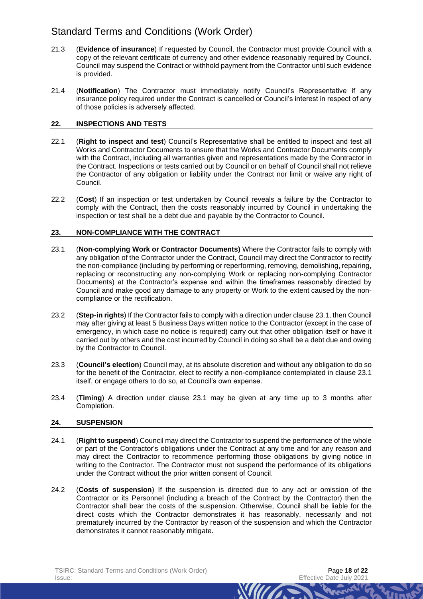- <span id="page-17-1"></span>21.3 (**Evidence of insurance**) If requested by Council, the Contractor must provide Council with a copy of the relevant certificate of currency and other evidence reasonably required by Council. Council may suspend the Contract or withhold payment from the Contractor until such evidence is provided.
- 21.4 (**Notification**) The Contractor must immediately notify Council's Representative if any insurance policy required under the Contract is cancelled or Council's interest in respect of any of those policies is adversely affected.

## **22. INSPECTIONS AND TESTS**

- 22.1 (**Right to inspect and test**) Council's Representative shall be entitled to inspect and test all Works and Contractor Documents to ensure that the Works and Contractor Documents comply with the Contract, including all warranties given and representations made by the Contractor in the Contract. Inspections or tests carried out by Council or on behalf of Council shall not relieve the Contractor of any obligation or liability under the Contract nor limit or waive any right of Council.
- 22.2 (**Cost**) If an inspection or test undertaken by Council reveals a failure by the Contractor to comply with the Contract, then the costs reasonably incurred by Council in undertaking the inspection or test shall be a debt due and payable by the Contractor to Council.

## **23. NON-COMPLIANCE WITH THE CONTRACT**

- <span id="page-17-2"></span>23.1 (**Non-complying Work or Contractor Documents)** Where the Contractor fails to comply with any obligation of the Contractor under the Contract, Council may direct the Contractor to rectify the non-compliance (including by performing or reperforming, removing, demolishing, repairing, replacing or reconstructing any non-complying Work or replacing non-complying Contractor Documents) at the Contractor's expense and within the timeframes reasonably directed by Council and make good any damage to any property or Work to the extent caused by the noncompliance or the rectification.
- 23.2 (**Step-in rights**) If the Contractor fails to comply with a direction under clause [23.1,](#page-17-2) then Council may after giving at least 5 Business Days written notice to the Contractor (except in the case of emergency, in which case no notice is required) carry out that other obligation itself or have it carried out by others and the cost incurred by Council in doing so shall be a debt due and owing by the Contractor to Council.
- 23.3 (**Council's election**) Council may, at its absolute discretion and without any obligation to do so for the benefit of the Contractor, elect to rectify a non-compliance contemplated in clause [23.1](#page-17-2) itself, or engage others to do so, at Council's own expense.
- <span id="page-17-0"></span>23.4 (**Timing**) A direction under clause [23.1](#page-17-2) may be given at any time up to 3 months after Completion.

## **24. SUSPENSION**

- 24.1 (**Right to suspend**) Council may direct the Contractor to suspend the performance of the whole or part of the Contractor's obligations under the Contract at any time and for any reason and may direct the Contractor to recommence performing those obligations by giving notice in writing to the Contractor. The Contractor must not suspend the performance of its obligations under the Contract without the prior written consent of Council.
- 24.2 (**Costs of suspension**) If the suspension is directed due to any act or omission of the Contractor or its Personnel (including a breach of the Contract by the Contractor) then the Contractor shall bear the costs of the suspension. Otherwise, Council shall be liable for the direct costs which the Contractor demonstrates it has reasonably, necessarily and not prematurely incurred by the Contractor by reason of the suspension and which the Contractor demonstrates it cannot reasonably mitigate.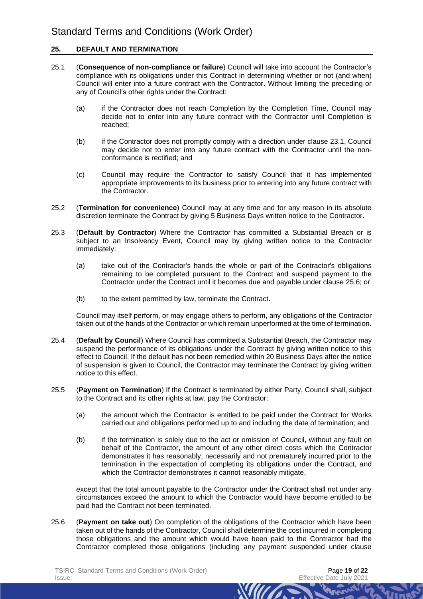## <span id="page-18-1"></span>**25. DEFAULT AND TERMINATION**

- 25.1 (**Consequence of non-compliance or failure**) Council will take into account the Contractor's compliance with its obligations under this Contract in determining whether or not (and when) Council will enter into a future contract with the Contractor. Without limiting the preceding or any of Council's other rights under the Contract:
	- (a) if the Contractor does not reach Completion by the Completion Time, Council may decide not to enter into any future contract with the Contractor until Completion is reached;
	- (b) if the Contractor does not promptly comply with a direction under clause [23.1,](#page-17-2) Council may decide not to enter into any future contract with the Contractor until the nonconformance is rectified; and
	- (c) Council may require the Contractor to satisfy Council that it has implemented appropriate improvements to its business prior to entering into any future contract with the Contractor.
- 25.2 (**Termination for convenience**) Council may at any time and for any reason in its absolute discretion terminate the Contract by giving 5 Business Days written notice to the Contractor.
- 25.3 (**Default by Contractor**) Where the Contractor has committed a Substantial Breach or is subject to an Insolvency Event, Council may by giving written notice to the Contractor immediately:
	- (a) take out of the Contractor's hands the whole or part of the Contractor's obligations remaining to be completed pursuant to the Contract and suspend payment to the Contractor under the Contract until it becomes due and payable under clause [25.6;](#page-18-2) or
	- (b) to the extent permitted by law, terminate the Contract.

<span id="page-18-3"></span>Council may itself perform, or may engage others to perform, any obligations of the Contractor taken out of the hands of the Contractor or which remain unperformed at the time of termination.

- 25.4 (**Default by Council**) Where Council has committed a Substantial Breach, the Contractor may suspend the performance of its obligations under the Contract by giving written notice to this effect to Council. If the default has not been remedied within 20 Business Days after the notice of suspension is given to Council, the Contractor may terminate the Contract by giving written notice to this effect.
- <span id="page-18-0"></span>25.5 (**Payment on Termination**) If the Contract is terminated by either Party, Council shall, subject to the Contract and its other rights at law, pay the Contractor:
	- (a) the amount which the Contractor is entitled to be paid under the Contract for Works carried out and obligations performed up to and including the date of termination; and
	- (b) if the termination is solely due to the act or omission of Council, without any fault on behalf of the Contractor, the amount of any other direct costs which the Contractor demonstrates it has reasonably, necessarily and not prematurely incurred prior to the termination in the expectation of completing its obligations under the Contract, and which the Contractor demonstrates it cannot reasonably mitigate.

except that the total amount payable to the Contractor under the Contract shall not under any circumstances exceed the amount to which the Contractor would have become entitled to be paid had the Contract not been terminated.

*MITTA* 

<span id="page-18-2"></span>25.6 (**Payment on take out**) On completion of the obligations of the Contractor which have been taken out of the hands of the Contractor, Council shall determine the cost incurred in completing those obligations and the amount which would have been paid to the Contractor had the Contractor completed those obligations (including any payment suspended under clause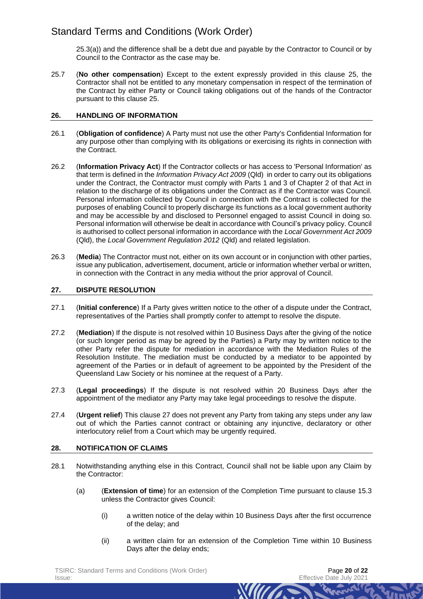[25.3\(a\)\)](#page-18-3) and the difference shall be a debt due and payable by the Contractor to Council or by Council to the Contractor as the case may be.

<span id="page-19-1"></span>25.7 (**No other compensation**) Except to the extent expressly provided in this clause [25,](#page-18-1) the Contractor shall not be entitled to any monetary compensation in respect of the termination of the Contract by either Party or Council taking obligations out of the hands of the Contractor pursuant to this clause [25.](#page-18-1)

## <span id="page-19-0"></span>**26. HANDLING OF INFORMATION**

- 26.1 (**Obligation of confidence**) A Party must not use the other Party's Confidential Information for any purpose other than complying with its obligations or exercising its rights in connection with the Contract.
- 26.2 (**Information Privacy Act**) If the Contractor collects or has access to 'Personal Information' as that term is defined in the *Information Privacy Act 2009* (Qld) in order to carry out its obligations under the Contract, the Contractor must comply with Parts 1 and 3 of Chapter 2 of that Act in relation to the discharge of its obligations under the Contract as if the Contractor was Council. Personal information collected by Council in connection with the Contract is collected for the purposes of enabling Council to properly discharge its functions as a local government authority and may be accessible by and disclosed to Personnel engaged to assist Council in doing so. Personal information will otherwise be dealt in accordance with Council's privacy policy. Council is authorised to collect personal information in accordance with the *Local Government Act 2009*  (Qld), the *Local Government Regulation 2012* (Qld) and related legislation.
- 26.3 (**Media**) The Contractor must not, either on its own account or in conjunction with other parties, issue any publication, advertisement, document, article or information whether verbal or written, in connection with the Contract in any media without the prior approval of Council.

## <span id="page-19-3"></span>**27. DISPUTE RESOLUTION**

- 27.1 (**Initial conference**) If a Party gives written notice to the other of a dispute under the Contract, representatives of the Parties shall promptly confer to attempt to resolve the dispute.
- 27.2 (**Mediation**) If the dispute is not resolved within 10 Business Days after the giving of the notice (or such longer period as may be agreed by the Parties) a Party may by written notice to the other Party refer the dispute for mediation in accordance with the Mediation Rules of the Resolution Institute. The mediation must be conducted by a mediator to be appointed by agreement of the Parties or in default of agreement to be appointed by the President of the Queensland Law Society or his nominee at the request of a Party.
- 27.3 (**Legal proceedings**) If the dispute is not resolved within 20 Business Days after the appointment of the mediator any Party may take legal proceedings to resolve the dispute.
- 27.4 (**Urgent relief**) This clause [27](#page-19-3) does not prevent any Party from taking any steps under any law out of which the Parties cannot contract or obtaining any injunctive, declaratory or other interlocutory relief from a Court which may be urgently required.

## <span id="page-19-2"></span>**28. NOTIFICATION OF CLAIMS**

- 28.1 Notwithstanding anything else in this Contract, Council shall not be liable upon any Claim by the Contractor:
	- (a) (**Extension of time**) for an extension of the Completion Time pursuant to clause [15.3](#page-12-1) unless the Contractor gives Council:
		- (i) a written notice of the delay within 10 Business Days after the first occurrence of the delay; and
		- (ii) a written claim for an extension of the Completion Time within 10 Business Days after the delay ends;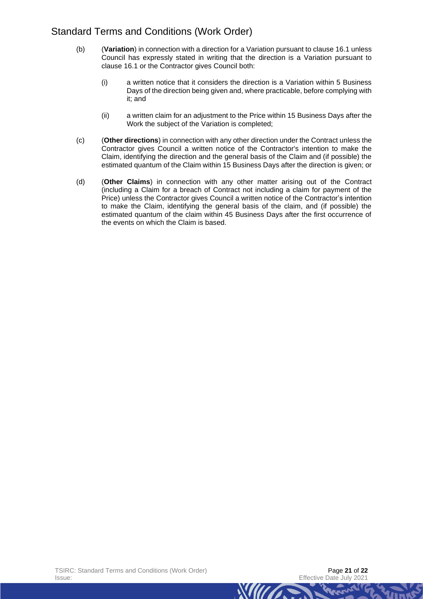- (b) (**Variation**) in connection with a direction for a Variation pursuant to clause [16.1](#page-12-2) unless Council has expressly stated in writing that the direction is a Variation pursuant to clause [16.1](#page-12-2) or the Contractor gives Council both:
	- (i) a written notice that it considers the direction is a Variation within 5 Business Days of the direction being given and, where practicable, before complying with it; and
	- (ii) a written claim for an adjustment to the Price within 15 Business Days after the Work the subject of the Variation is completed;
- (c) (**Other directions**) in connection with any other direction under the Contract unless the Contractor gives Council a written notice of the Contractor's intention to make the Claim, identifying the direction and the general basis of the Claim and (if possible) the estimated quantum of the Claim within 15 Business Days after the direction is given; or
- (d) (**Other Claims**) in connection with any other matter arising out of the Contract (including a Claim for a breach of Contract not including a claim for payment of the Price) unless the Contractor gives Council a written notice of the Contractor's intention to make the Claim, identifying the general basis of the claim, and (if possible) the estimated quantum of the claim within 45 Business Days after the first occurrence of the events on which the Claim is based.

**WILLIAM**